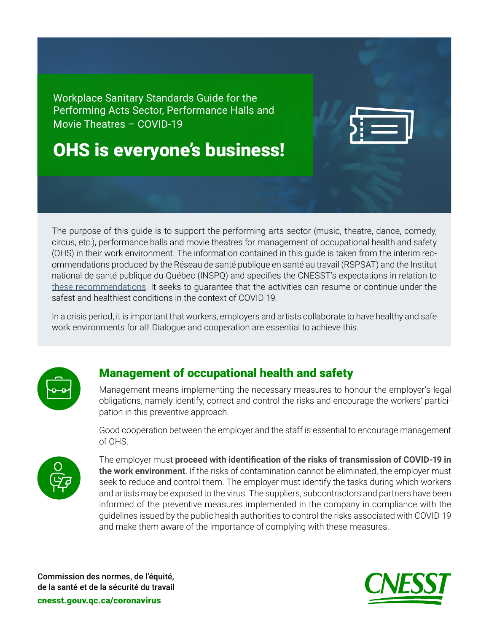Workplace Sanitary Standards Guide for the Performing Acts Sector, Performance Halls and Movie Theatres – COVID-19

# OHS is everyone's business!

The purpose of this guide is to support the performing arts sector (music, theatre, dance, comedy, circus, etc.), performance halls and movie theatres for management of occupational health and safety (OHS) in their work environment. The information contained in this guide is taken from the interim recommendations produced by the Réseau de santé publique en santé au travail (RSPSAT) and the Institut national de santé publique du Québec (INSPQ) and specifies the CNESST's expectations in relation to [these recommendations](https://www.inspq.qc.ca/en). It seeks to guarantee that the activities can resume or continue under the safest and healthiest conditions in the context of COVID-19.

In a crisis period, it is important that workers, employers and artists collaborate to have healthy and safe work environments for all! Dialogue and cooperation are essential to achieve this.



# Management of occupational health and safety

Management means implementing the necessary measures to honour the employer's legal obligations, namely identify, correct and control the risks and encourage the workers' participation in this preventive approach.

Good cooperation between the employer and the staff is essential to encourage management of OHS.



The employer must **proceed with identification of the risks of transmission of COVID-19 in the work environment**. If the risks of contamination cannot be eliminated, the employer must seek to reduce and control them. The employer must identify the tasks during which workers and artists may be exposed to the virus. The suppliers, subcontractors and partners have been informed of the preventive measures implemented in the company in compliance with the guidelines issued by the public health authorities to control the risks associated with COVID-19 and make them aware of the importance of complying with these measures.

Commission des normes, de l'équité, de la santé et de la sécurité du travail

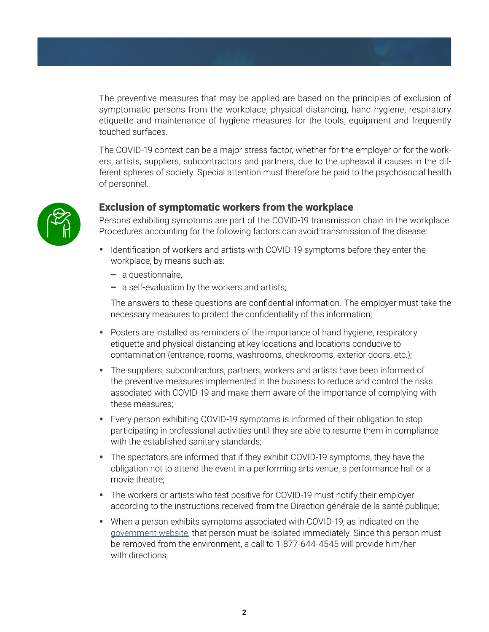The preventive measures that may be applied are based on the principles of exclusion of symptomatic persons from the workplace, physical distancing, hand hygiene, respiratory etiquette and maintenance of hygiene measures for the tools, equipment and frequently touched surfaces.

The COVID-19 context can be a major stress factor, whether for the employer or for the workers, artists, suppliers, subcontractors and partners, due to the upheaval it causes in the different spheres of society. Special attention must therefore be paid to the psychosocial health of personnel.



## Exclusion of symptomatic workers from the workplace

Persons exhibiting symptoms are part of the COVID-19 transmission chain in the workplace. Procedures accounting for the following factors can avoid transmission of the disease:

- Identification of workers and artists with COVID-19 symptoms before they enter the workplace, by means such as:
	- a questionnaire,
	- a self-evaluation by the workers and artists;

The answers to these questions are confidential information. The employer must take the necessary measures to protect the confidentiality of this information;

- Posters are installed as reminders of the importance of hand hygiene, respiratory etiquette and physical distancing at key locations and locations conducive to contamination (entrance, rooms, washrooms, checkrooms, exterior doors, etc.);
- The suppliers, subcontractors, partners, workers and artists have been informed of the preventive measures implemented in the business to reduce and control the risks associated with COVID-19 and make them aware of the importance of complying with these measures;
- Every person exhibiting COVID-19 symptoms is informed of their obligation to stop participating in professional activities until they are able to resume them in compliance with the established sanitary standards;
- The spectators are informed that if they exhibit COVID-19 symptoms, they have the obligation not to attend the event in a performing arts venue, a performance hall or a movie theatre;
- The workers or artists who test positive for COVID-19 must notify their employer according to the instructions received from the Direction générale de la santé publique;
- When a person exhibits symptoms associated with COVID-19, as indicated on the [government website,](https://www.quebec.ca/en/health/health-issues/a-z/general-information-about-coronavirus/) that person must be isolated immediately. Since this person must be removed from the environment, a call to 1-877-644-4545 will provide him/her with directions;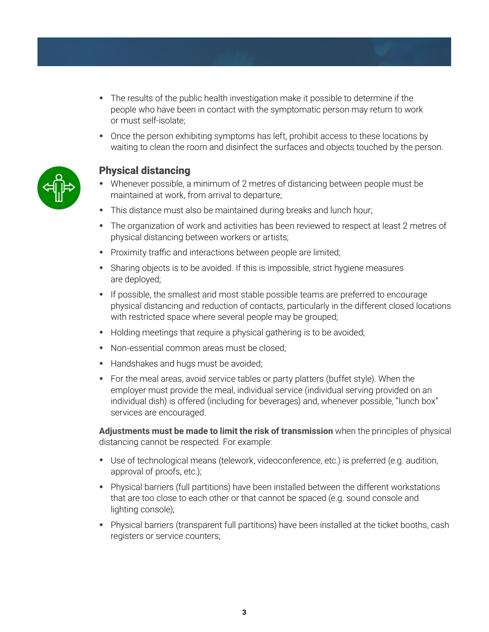- The results of the public health investigation make it possible to determine if the people who have been in contact with the symptomatic person may return to work or must self-isolate;
- Once the person exhibiting symptoms has left, prohibit access to these locations by waiting to clean the room and disinfect the surfaces and objects touched by the person.



## Physical distancing

- Whenever possible, a minimum of 2 metres of distancing between people must be maintained at work, from arrival to departure;
- This distance must also be maintained during breaks and lunch hour;
- The organization of work and activities has been reviewed to respect at least 2 metres of physical distancing between workers or artists;
- Proximity traffic and interactions between people are limited;
- Sharing objects is to be avoided. If this is impossible, strict hygiene measures are deployed;
- If possible, the smallest and most stable possible teams are preferred to encourage physical distancing and reduction of contacts, particularly in the different closed locations with restricted space where several people may be grouped;
- Holding meetings that require a physical gathering is to be avoided;
- Non-essential common areas must be closed;
- Handshakes and hugs must be avoided;
- For the meal areas, avoid service tables or party platters (buffet style). When the employer must provide the meal, individual service (individual serving provided on an individual dish) is offered (including for beverages) and, whenever possible, "lunch box" services are encouraged.

**Adjustments must be made to limit the risk of transmission** when the principles of physical distancing cannot be respected. For example:

- Use of technological means (telework, videoconference, etc.) is preferred (e.g. audition, approval of proofs, etc.);
- Physical barriers (full partitions) have been installed between the different workstations that are too close to each other or that cannot be spaced (e.g. sound console and lighting console);
- Physical barriers (transparent full partitions) have been installed at the ticket booths, cash registers or service counters;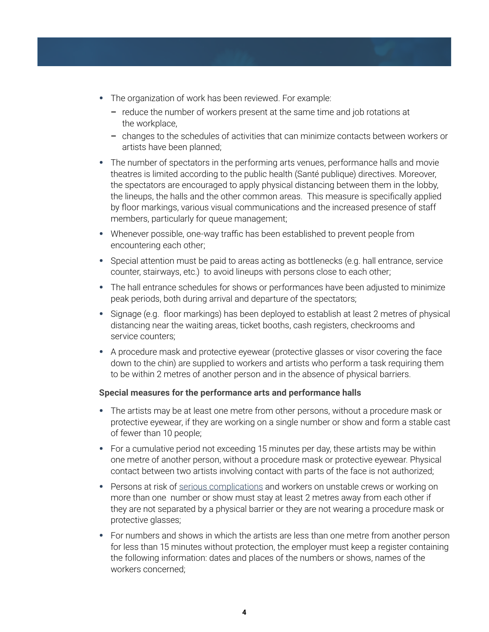- The organization of work has been reviewed. For example:
	- reduce the number of workers present at the same time and job rotations at the workplace,
	- changes to the schedules of activities that can minimize contacts between workers or artists have been planned;
- The number of spectators in the performing arts venues, performance halls and movie theatres is limited according to the public health (Santé publique) directives. Moreover, the spectators are encouraged to apply physical distancing between them in the lobby, the lineups, the halls and the other common areas. This measure is specifically applied by floor markings, various visual communications and the increased presence of staff members, particularly for queue management;
- Whenever possible, one-way traffic has been established to prevent people from encountering each other;
- Special attention must be paid to areas acting as bottlenecks (e.g. hall entrance, service counter, stairways, etc.) to avoid lineups with persons close to each other;
- The hall entrance schedules for shows or performances have been adjusted to minimize peak periods, both during arrival and departure of the spectators;
- Signage (e.g. floor markings) has been deployed to establish at least 2 metres of physical distancing near the waiting areas, ticket booths, cash registers, checkrooms and service counters;
- A procedure mask and protective eyewear (protective glasses or visor covering the face down to the chin) are supplied to workers and artists who perform a task requiring them to be within 2 metres of another person and in the absence of physical barriers.

#### **Special measures for the performance arts and performance halls**

- The artists may be at least one metre from other persons, without a procedure mask or protective eyewear, if they are working on a single number or show and form a stable cast of fewer than 10 people;
- For a cumulative period not exceeding 15 minutes per day, these artists may be within one metre of another person, without a procedure mask or protective eyewear. Physical contact between two artists involving contact with parts of the face is not authorized;
- Persons at risk of [serious complications](https://www.quebec.ca/en/health/health-issues/a-z/general-information-about-coronavirus/) and workers on unstable crews or working on more than one number or show must stay at least 2 metres away from each other if they are not separated by a physical barrier or they are not wearing a procedure mask or protective glasses;
- For numbers and shows in which the artists are less than one metre from another person for less than 15 minutes without protection, the employer must keep a register containing the following information: dates and places of the numbers or shows, names of the workers concerned;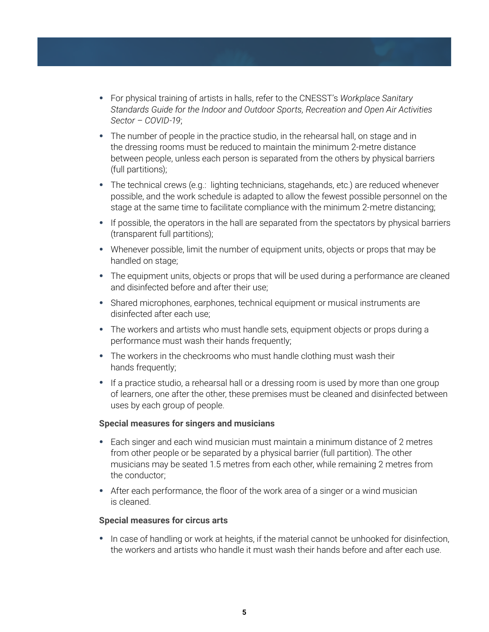- For physical training of artists in halls, refer to the CNESST's *Workplace Sanitary Standards Guide for the Indoor and Outdoor Sports, Recreation and Open Air Activities Sector – COVID-19*;
- The number of people in the practice studio, in the rehearsal hall, on stage and in the dressing rooms must be reduced to maintain the minimum 2-metre distance between people, unless each person is separated from the others by physical barriers (full partitions);
- The technical crews (e.g.: lighting technicians, stagehands, etc.) are reduced whenever possible, and the work schedule is adapted to allow the fewest possible personnel on the stage at the same time to facilitate compliance with the minimum 2-metre distancing;
- If possible, the operators in the hall are separated from the spectators by physical barriers (transparent full partitions);
- Whenever possible, limit the number of equipment units, objects or props that may be handled on stage;
- The equipment units, objects or props that will be used during a performance are cleaned and disinfected before and after their use;
- Shared microphones, earphones, technical equipment or musical instruments are disinfected after each use;
- The workers and artists who must handle sets, equipment objects or props during a performance must wash their hands frequently;
- The workers in the checkrooms who must handle clothing must wash their hands frequently;
- If a practice studio, a rehearsal hall or a dressing room is used by more than one group of learners, one after the other, these premises must be cleaned and disinfected between uses by each group of people.

#### **Special measures for singers and musicians**

- Each singer and each wind musician must maintain a minimum distance of 2 metres from other people or be separated by a physical barrier (full partition). The other musicians may be seated 1.5 metres from each other, while remaining 2 metres from the conductor;
- After each performance, the floor of the work area of a singer or a wind musician is cleaned.

#### **Special measures for circus arts**

• In case of handling or work at heights, if the material cannot be unhooked for disinfection, the workers and artists who handle it must wash their hands before and after each use.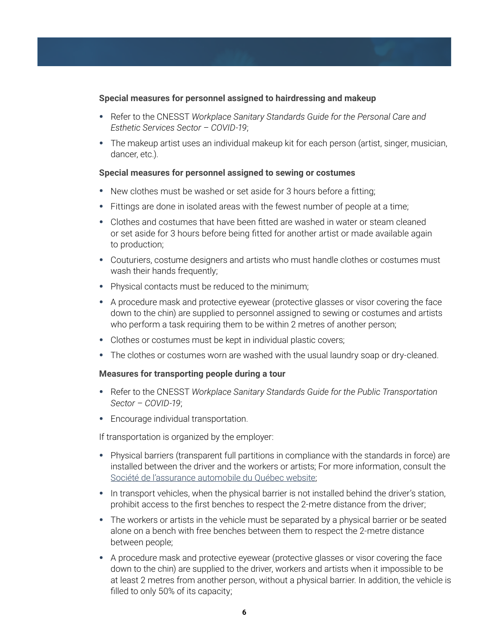#### **Special measures for personnel assigned to hairdressing and makeup**

- Refer to the CNESST *Workplace Sanitary Standards Guide for the Personal Care and Esthetic Services Sector – COVID-19*;
- The makeup artist uses an individual makeup kit for each person (artist, singer, musician, dancer, etc.).

#### **Special measures for personnel assigned to sewing or costumes**

- New clothes must be washed or set aside for 3 hours before a fitting;
- Fittings are done in isolated areas with the fewest number of people at a time;
- Clothes and costumes that have been fitted are washed in water or steam cleaned or set aside for 3 hours before being fitted for another artist or made available again to production;
- Couturiers, costume designers and artists who must handle clothes or costumes must wash their hands frequently;
- Physical contacts must be reduced to the minimum;
- A procedure mask and protective eyewear (protective glasses or visor covering the face down to the chin) are supplied to personnel assigned to sewing or costumes and artists who perform a task requiring them to be within 2 metres of another person;
- Clothes or costumes must be kept in individual plastic covers;
- The clothes or costumes worn are washed with the usual laundry soap or dry-cleaned.

#### **Measures for transporting people during a tour**

- Refer to the CNESST *Workplace Sanitary Standards Guide for the Public Transportation Sector – COVID-19*;
- Encourage individual transportation.

If transportation is organized by the employer:

- Physical barriers (transparent full partitions in compliance with the standards in force) are installed between the driver and the workers or artists; For more information, consult the [Société de l'assurance automobile du Québec website](https://saaq.gouv.qc.ca/fileadmin/documents/publications/installation-cloisons-protection-covid-19.pdf);
- In transport vehicles, when the physical barrier is not installed behind the driver's station, prohibit access to the first benches to respect the 2-metre distance from the driver;
- The workers or artists in the vehicle must be separated by a physical barrier or be seated alone on a bench with free benches between them to respect the 2-metre distance between people;
- A procedure mask and protective eyewear (protective glasses or visor covering the face down to the chin) are supplied to the driver, workers and artists when it impossible to be at least 2 metres from another person, without a physical barrier. In addition, the vehicle is filled to only 50% of its capacity;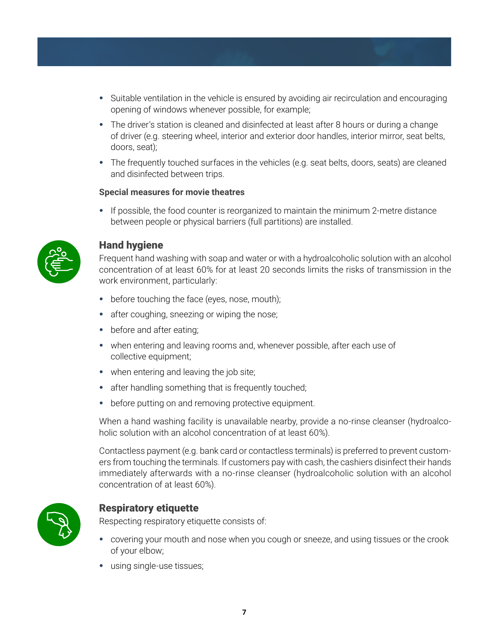- Suitable ventilation in the vehicle is ensured by avoiding air recirculation and encouraging opening of windows whenever possible, for example;
- The driver's station is cleaned and disinfected at least after 8 hours or during a change of driver (e.g. steering wheel, interior and exterior door handles, interior mirror, seat belts, doors, seat);
- The frequently touched surfaces in the vehicles (e.g. seat belts, doors, seats) are cleaned and disinfected between trips.

#### **Special measures for movie theatres**

• If possible, the food counter is reorganized to maintain the minimum 2-metre distance between people or physical barriers (full partitions) are installed.



## Hand hygiene

Frequent hand washing with soap and water or with a hydroalcoholic solution with an alcohol concentration of at least 60% for at least 20 seconds limits the risks of transmission in the work environment, particularly:

- before touching the face (eyes, nose, mouth);
- after coughing, sneezing or wiping the nose;
- before and after eating;
- when entering and leaving rooms and, whenever possible, after each use of collective equipment;
- when entering and leaving the job site;
- after handling something that is frequently touched;
- before putting on and removing protective equipment.

When a hand washing facility is unavailable nearby, provide a no-rinse cleanser (hydroalcoholic solution with an alcohol concentration of at least 60%).

Contactless payment (e.g. bank card or contactless terminals) is preferred to prevent customers from touching the terminals. If customers pay with cash, the cashiers disinfect their hands immediately afterwards with a no-rinse cleanser (hydroalcoholic solution with an alcohol concentration of at least 60%).



# Respiratory etiquette

Respecting respiratory etiquette consists of:

- covering your mouth and nose when you cough or sneeze, and using tissues or the crook of your elbow;
- using single-use tissues;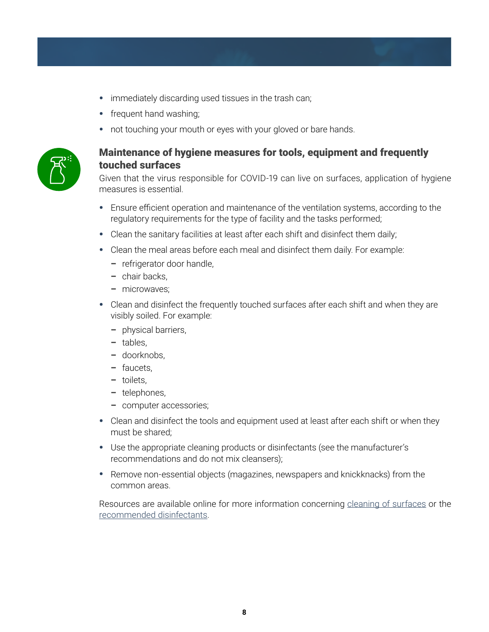- immediately discarding used tissues in the trash can;
- frequent hand washing;
- not touching your mouth or eyes with your gloved or bare hands.



# Maintenance of hygiene measures for tools, equipment and frequently touched surfaces

Given that the virus responsible for COVID-19 can live on surfaces, application of hygiene measures is essential.

- Ensure efficient operation and maintenance of the ventilation systems, according to the regulatory requirements for the type of facility and the tasks performed;
- Clean the sanitary facilities at least after each shift and disinfect them daily;
- Clean the meal areas before each meal and disinfect them daily. For example:
	- refrigerator door handle,
	- chair backs,
	- microwaves;
- Clean and disinfect the frequently touched surfaces after each shift and when they are visibly soiled. For example:
	- physical barriers,
	- tables,
	- doorknobs,
	- faucets,
	- toilets,
	- telephones,
	- computer accessories;
- Clean and disinfect the tools and equipment used at least after each shift or when they must be shared;
- Use the appropriate cleaning products or disinfectants (see the manufacturer's recommendations and do not mix cleansers);
- Remove non-essential objects (magazines, newspapers and knickknacks) from the common areas.

Resources are available online for more information concerning [cleaning of surfaces](https://www.inspq.qc.ca/en/covid-19/environment/surface-cleaning) or the [recommended disinfectants.](https://www.canada.ca/en/health-canada/services/drugs-health-products/disinfectants/covid-19.html)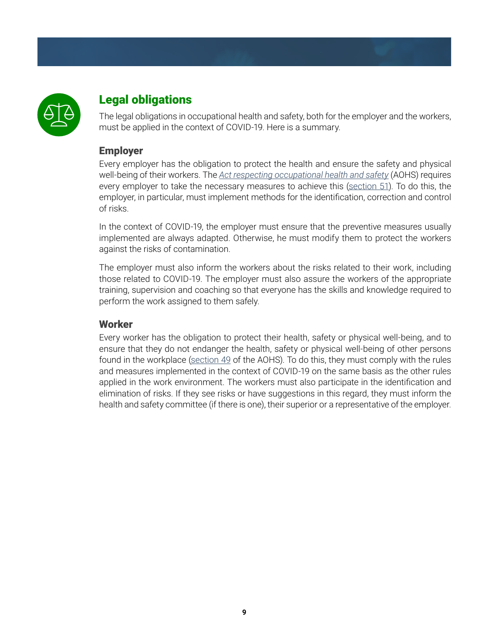

# Legal obligations

The legal obligations in occupational health and safety, both for the employer and the workers, must be applied in the context of COVID-19. Here is a summary.

# Employer

Every employer has the obligation to protect the health and ensure the safety and physical well-being of their workers. The *[Act respecting occupational health and safety](http://legisquebec.gouv.qc.ca/en/showdoc/cs/s-2.1)* (AOHS) requires every employer to take the necessary measures to achieve this ([section 51](http://legisquebec.gouv.qc.ca/en/showdoc/cs/s-2.1)). To do this, the employer, in particular, must implement methods for the identification, correction and control of risks.

In the context of COVID-19, the employer must ensure that the preventive measures usually implemented are always adapted. Otherwise, he must modify them to protect the workers against the risks of contamination.

The employer must also inform the workers about the risks related to their work, including those related to COVID-19. The employer must also assure the workers of the appropriate training, supervision and coaching so that everyone has the skills and knowledge required to perform the work assigned to them safely.

# **Worker**

Every worker has the obligation to protect their health, safety or physical well-being, and to ensure that they do not endanger the health, safety or physical well-being of other persons found in the workplace ([section 49](http://legisquebec.gouv.qc.ca/en/showdoc/cs/s-2.1) of the AOHS). To do this, they must comply with the rules and measures implemented in the context of COVID-19 on the same basis as the other rules applied in the work environment. The workers must also participate in the identification and elimination of risks. If they see risks or have suggestions in this regard, they must inform the health and safety committee (if there is one), their superior or a representative of the employer.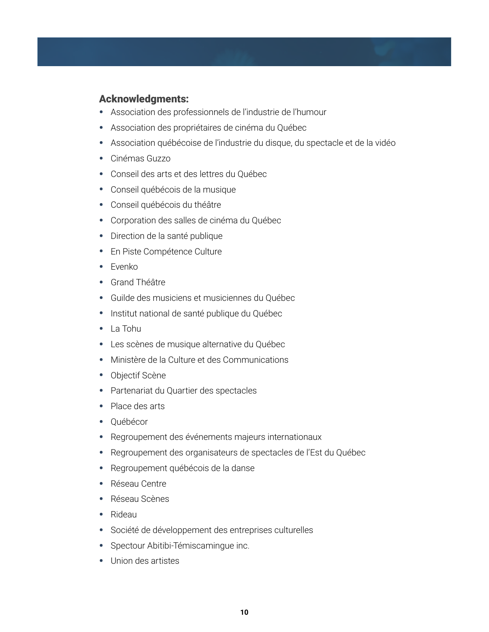# Acknowledgments:

- Association des professionnels de l'industrie de l'humour
- Association des propriétaires de cinéma du Québec
- Association québécoise de l'industrie du disque, du spectacle et de la vidéo
- Cinémas Guzzo
- Conseil des arts et des lettres du Québec
- Conseil québécois de la musique
- Conseil québécois du théâtre
- Corporation des salles de cinéma du Québec
- Direction de la santé publique
- En Piste Compétence Culture
- Evenko
- Grand Théâtre
- Guilde des musiciens et musiciennes du Québec
- Institut national de santé publique du Québec
- La Tohu
- Les scènes de musique alternative du Québec
- Ministère de la Culture et des Communications
- Objectif Scène
- Partenariat du Quartier des spectacles
- Place des arts
- Québécor
- Regroupement des événements majeurs internationaux
- Regroupement des organisateurs de spectacles de l'Est du Québec
- Regroupement québécois de la danse
- Réseau Centre
- Réseau Scènes
- Rideau
- Société de développement des entreprises culturelles
- Spectour Abitibi-Témiscamingue inc.
- Union des artistes